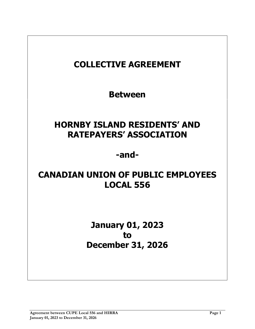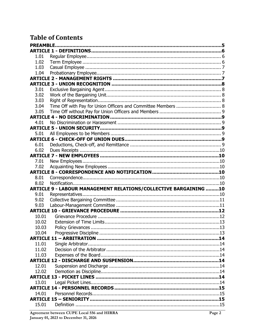# **Table of Contents**

| 1.01           |                                                                         |  |  |  |
|----------------|-------------------------------------------------------------------------|--|--|--|
| 1.02           |                                                                         |  |  |  |
| 1.03           |                                                                         |  |  |  |
| 1.04           |                                                                         |  |  |  |
|                |                                                                         |  |  |  |
|                |                                                                         |  |  |  |
| 3.01           |                                                                         |  |  |  |
| 3.02           |                                                                         |  |  |  |
| 3.03           |                                                                         |  |  |  |
| 3.04           | Time Off with Pay for Union Officers and Committee Members  8           |  |  |  |
| 3.05           |                                                                         |  |  |  |
|                |                                                                         |  |  |  |
| 4.01           |                                                                         |  |  |  |
|                |                                                                         |  |  |  |
| 5.01           |                                                                         |  |  |  |
|                |                                                                         |  |  |  |
| 6.01           |                                                                         |  |  |  |
| 6.02           |                                                                         |  |  |  |
|                |                                                                         |  |  |  |
| 7.01           |                                                                         |  |  |  |
| 7.02           |                                                                         |  |  |  |
|                |                                                                         |  |  |  |
| 8.01           |                                                                         |  |  |  |
| 8.02           |                                                                         |  |  |  |
|                | <b>ARTICLE 9 - LABOUR MANAGEMENT RELATIONS/COLLECTIVE BARGAINING 10</b> |  |  |  |
| 9.01           |                                                                         |  |  |  |
| 9.02           |                                                                         |  |  |  |
| 9.03           |                                                                         |  |  |  |
|                |                                                                         |  |  |  |
| 10.01<br>10.02 |                                                                         |  |  |  |
| 10.03          | <b>Policy Grievances</b>                                                |  |  |  |
| 10.04          |                                                                         |  |  |  |
|                |                                                                         |  |  |  |
| 11.01          |                                                                         |  |  |  |
| 11.02          |                                                                         |  |  |  |
| 11.03          |                                                                         |  |  |  |
|                |                                                                         |  |  |  |
| 12.01          |                                                                         |  |  |  |
| 12.02          |                                                                         |  |  |  |
|                |                                                                         |  |  |  |
| 13.01          |                                                                         |  |  |  |
|                |                                                                         |  |  |  |
| 14.01          |                                                                         |  |  |  |
|                |                                                                         |  |  |  |
| 15.01          |                                                                         |  |  |  |
|                |                                                                         |  |  |  |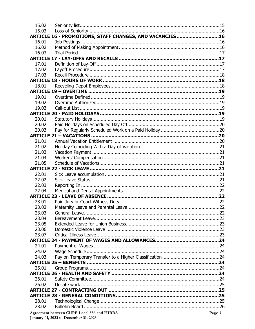| 15.02 |                                                         |        |
|-------|---------------------------------------------------------|--------|
| 15.03 |                                                         |        |
|       | ARTICLE 16 - PROMOTIONS, STAFF CHANGES, AND VACANCIES16 |        |
| 16.01 |                                                         |        |
| 16.02 |                                                         |        |
| 16.03 |                                                         |        |
|       |                                                         |        |
| 17.01 |                                                         |        |
| 17.02 |                                                         |        |
| 17.03 |                                                         |        |
|       |                                                         |        |
| 18.01 |                                                         |        |
|       |                                                         |        |
| 19.01 |                                                         |        |
| 19.02 |                                                         |        |
| 19.03 |                                                         |        |
|       |                                                         |        |
| 20.01 |                                                         |        |
| 20.02 |                                                         |        |
| 20.03 |                                                         |        |
|       |                                                         |        |
| 21.01 |                                                         |        |
| 21.02 |                                                         |        |
| 21.03 |                                                         |        |
| 21.04 |                                                         |        |
| 21.05 |                                                         |        |
|       |                                                         |        |
| 22.01 |                                                         |        |
| 22.02 |                                                         |        |
| 22.03 |                                                         |        |
| 22.04 |                                                         |        |
| 23.01 |                                                         |        |
| 23.02 |                                                         |        |
| 23.03 |                                                         |        |
| 23.04 |                                                         |        |
| 23.05 |                                                         |        |
| 23.06 |                                                         |        |
| 23.07 |                                                         |        |
|       |                                                         |        |
| 24.01 |                                                         |        |
| 24.02 |                                                         |        |
| 24.03 |                                                         |        |
|       |                                                         |        |
| 25.01 |                                                         |        |
|       |                                                         |        |
| 26.01 |                                                         |        |
| 26.02 |                                                         |        |
|       |                                                         |        |
|       |                                                         |        |
| 28.01 |                                                         |        |
| 28.02 |                                                         |        |
|       | Agreement between CUPE Local 556 and HIRRA              | Page 3 |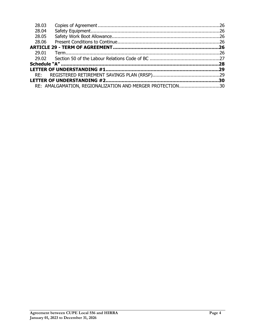| 28.03 |                                                           |  |
|-------|-----------------------------------------------------------|--|
| 28.04 |                                                           |  |
| 28.05 |                                                           |  |
| 28.06 |                                                           |  |
|       |                                                           |  |
| 29.01 |                                                           |  |
|       |                                                           |  |
|       |                                                           |  |
|       |                                                           |  |
|       |                                                           |  |
|       |                                                           |  |
|       | RE: AMALGAMATION, REGIONALIZATION AND MERGER PROTECTION30 |  |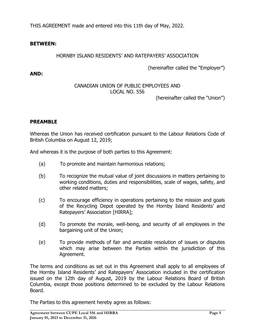THIS AGREEMENT made and entered into this 11th day of May, 2022.

## **BETWEEN:**

## HORNBY ISLAND RESIDENTS' AND RATEPAYERS' ASSOCIATION

(hereinafter called the "Employer")

**AND:**

## CANADIAN UNION OF PUBLIC EMPLOYEES AND LOCAL NO. 556

(hereinafter called the "Union")

## <span id="page-4-0"></span>**PREAMBLE**

Whereas the Union has received certification pursuant to the Labour Relations Code of British Columbia on August 12, 2019;

And whereas it is the purpose of both parties to this Agreement:

- (a) To promote and maintain harmonious relations;
- (b) To recognize the mutual value of joint discussions in matters pertaining to working conditions, duties and responsibilities, scale of wages, safety, and other related matters;
- (c) To encourage efficiency in operations pertaining to the mission and goals of the Recycling Depot operated by the Hornby Island Residents' and Ratepayers' Association [HIRRA];
- (d) To promote the morale, well-being, and security of all employees in the bargaining unit of the Union;
- (e) To provide methods of fair and amicable resolution of issues or disputes which may arise between the Parties within the jurisdiction of this Agreement.

The terms and conditions as set out in this Agreement shall apply to all employees of the Hornby Island Residents' and Ratepayers' Association included in the certification issued on the 12th day of August, 2019 by the Labour Relations Board of British Columbia, except those positions determined to be excluded by the Labour Relations Board.

The Parties to this agreement hereby agree as follows: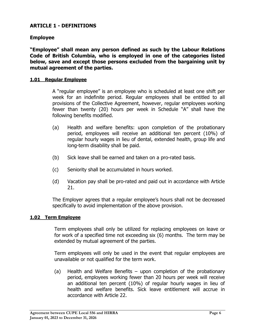## <span id="page-5-0"></span>**ARTICLE 1 - DEFINITIONS**

## **Employee**

**"Employee" shall mean any person defined as such by the Labour Relations Code of British Columbia, who is employed in one of the categories listed below, save and except those persons excluded from the bargaining unit by mutual agreement of the parties.**

### <span id="page-5-1"></span>**1.01 Regular Employee**

A "regular employee" is an employee who is scheduled at least one shift per week for an indefinite period. Regular employees shall be entitled to all provisions of the Collective Agreement, however, regular employees working fewer than twenty (20) hours per week in Schedule "A" shall have the following benefits modified.

- (a) Health and welfare benefits: upon completion of the probationary period, employees will receive an additional ten percent (10%) of regular hourly wages in lieu of dental, extended health, group life and long-term disability shall be paid.
- (b) Sick leave shall be earned and taken on a pro-rated basis.
- (c) Seniority shall be accumulated in hours worked.
- (d) Vacation pay shall be pro-rated and paid out in accordance with Article 21.

The Employer agrees that a regular employee's hours shall not be decreased specifically to avoid implementation of the above provision.

#### <span id="page-5-2"></span>**1.02 Term Employee**

Term employees shall only be utilized for replacing employees on leave or for work of a specified time not exceeding six (6) months. The term may be extended by mutual agreement of the parties.

Term employees will only be used in the event that regular employees are unavailable or not qualified for the term work.

(a) Health and Welfare Benefits – upon completion of the probationary period, employees working fewer than 20 hours per week will receive an additional ten percent (10%) of regular hourly wages in lieu of health and welfare benefits. Sick leave entitlement will accrue in accordance with Article 22.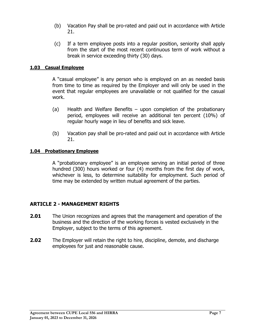- (b) Vacation Pay shall be pro-rated and paid out in accordance with Article 21.
- (c) If a term employee posts into a regular position, seniority shall apply from the start of the most recent continuous term of work without a break in service exceeding thirty (30) days.

## <span id="page-6-0"></span>**1.03 Casual Employee**

A "casual employee" is any person who is employed on an as needed basis from time to time as required by the Employer and will only be used in the event that regular employees are unavailable or not qualified for the casual work.

- (a) Health and Welfare Benefits upon completion of the probationary period, employees will receive an additional ten percent (10%) of regular hourly wage in lieu of benefits and sick leave.
- (b) Vacation pay shall be pro-rated and paid out in accordance with Article 21.

### <span id="page-6-1"></span>**1.04 Probationary Employee**

A "probationary employee" is an employee serving an initial period of three hundred (300) hours worked or four (4) months from the first day of work, whichever is less, to determine suitability for employment. Such period of time may be extended by written mutual agreement of the parties.

## <span id="page-6-2"></span>**ARTICLE 2 - MANAGEMENT RIGHTS**

- **2.01** The Union recognizes and agrees that the management and operation of the business and the direction of the working forces is vested exclusively in the Employer, subject to the terms of this agreement.
- **2.02** The Employer will retain the right to hire, discipline, demote, and discharge employees for just and reasonable cause.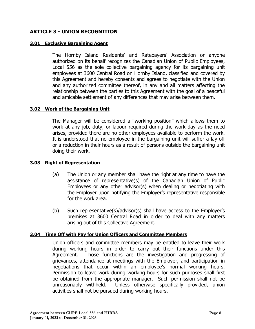## <span id="page-7-0"></span>**ARTICLE 3 - UNION RECOGNITION**

## <span id="page-7-1"></span>**3.01 Exclusive Bargaining Agent**

The Hornby Island Residents' and Ratepayers' Association or anyone authorized on its behalf recognizes the Canadian Union of Public Employees, Local 556 as the sole collective bargaining agency for its bargaining unit employees at 3600 Central Road on Hornby Island, classified and covered by this Agreement and hereby consents and agrees to negotiate with the Union and any authorized committee thereof, in any and all matters affecting the relationship between the parties to this Agreement with the goal of a peaceful and amicable settlement of any differences that may arise between them.

## <span id="page-7-2"></span>**3.02 Work of the Bargaining Unit**

The Manager will be considered a "working position" which allows them to work at any job, duty, or labour required during the work day as the need arises, provided there are no other employees available to perform the work. It is understood that no employee in the bargaining unit will suffer a lay-off or a reduction in their hours as a result of persons outside the bargaining unit doing their work.

## <span id="page-7-3"></span>**3.03 Right of Representation**

- (a) The Union or any member shall have the right at any time to have the assistance of representative(s) of the Canadian Union of Public Employees or any other advisor(s) when dealing or negotiating with the Employer upon notifying the Employer's representative responsible for the work area.
- (b) Such representative(s)/advisor(s) shall have access to the Employer's premises at 3600 Central Road in order to deal with any matters arising out of this Collective Agreement.

## <span id="page-7-4"></span>**3.04 Time Off with Pay for Union Officers and Committee Members**

Union officers and committee members may be entitled to leave their work during working hours in order to carry out their functions under this Agreement. Those functions are the investigation and progressing of grievances, attendance at meetings with the Employer, and participation in negotiations that occur within an employee's normal working hours. Permission to leave work during working hours for such purposes shall first be obtained from the appropriate manager. Such permission shall not be unreasonably withheld. Unless otherwise specifically provided, union activities shall not be pursued during working hours.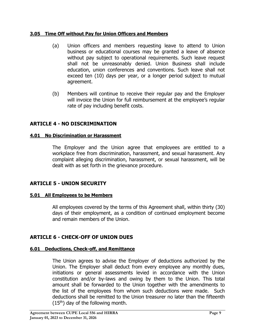## <span id="page-8-0"></span>**3.05 Time Off without Pay for Union Officers and Members**

- (a) Union officers and members requesting leave to attend to Union business or educational courses may be granted a leave of absence without pay subject to operational requirements. Such leave request shall not be unreasonably denied. Union Business shall include education, union conferences and conventions. Such leave shall not exceed ten (10) days per year, or a longer period subject to mutual agreement.
- (b) Members will continue to receive their regular pay and the Employer will invoice the Union for full reimbursement at the employee's regular rate of pay including benefit costs.

## <span id="page-8-1"></span>**ARTICLE 4 - NO DISCRIMINATION**

### <span id="page-8-2"></span>**4.01 No Discrimination or Harassment**

The Employer and the Union agree that employees are entitled to a workplace free from discrimination, harassment, and sexual harassment. Any complaint alleging discrimination, harassment, or sexual harassment, will be dealt with as set forth in the grievance procedure.

## <span id="page-8-3"></span>**ARTICLE 5 - UNION SECURITY**

## <span id="page-8-4"></span>**5.01 All Employees to be Members**

All employees covered by the terms of this Agreement shall, within thirty (30) days of their employment, as a condition of continued employment become and remain members of the Union.

## <span id="page-8-5"></span>**ARTICLE 6 - CHECK-OFF OF UNION DUES**

## <span id="page-8-6"></span>**6.01 Deductions, Check-off, and Remittance**

The Union agrees to advise the Employer of deductions authorized by the Union. The Employer shall deduct from every employee any monthly dues, initiations or general assessments levied in accordance with the Union constitution and/or by-laws and owing by them to the Union. This total amount shall be forwarded to the Union together with the amendments to the list of the employees from whom such deductions were made. Such deductions shall be remitted to the Union treasurer no later than the fifteenth  $(15<sup>th</sup>)$  day of the following month.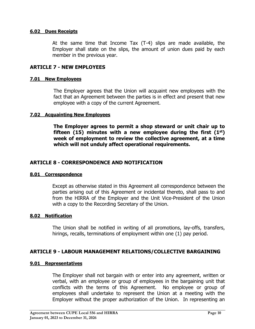### <span id="page-9-0"></span>**6.02 Dues Receipts**

At the same time that Income Tax (T-4) slips are made available, the Employer shall state on the slips, the amount of union dues paid by each member in the previous year.

## <span id="page-9-1"></span>**ARTICLE 7 - NEW EMPLOYEES**

#### <span id="page-9-2"></span>**7.01 New Employees**

The Employer agrees that the Union will acquaint new employees with the fact that an Agreement between the parties is in effect and present that new employee with a copy of the current Agreement.

#### <span id="page-9-3"></span>**7.02 Acquainting New Employees**

**The Employer agrees to permit a shop steward or unit chair up to fifteen (15) minutes with a new employee during the first (1st) week of employment to review the collective agreement, at a time which will not unduly affect operational requirements.**

### <span id="page-9-4"></span>**ARTICLE 8 - CORRESPONDENCE AND NOTIFICATION**

#### <span id="page-9-5"></span>**8.01 Correspondence**

Except as otherwise stated in this Agreement all correspondence between the parties arising out of this Agreement or incidental thereto, shall pass to and from the HIRRA of the Employer and the Unit Vice-President of the Union with a copy to the Recording Secretary of the Union.

#### <span id="page-9-6"></span>**8.02 Notification**

The Union shall be notified in writing of all promotions, lay-offs, transfers, hirings, recalls, terminations of employment within one (1) pay period.

## <span id="page-9-7"></span>**ARTICLE 9 - LABOUR MANAGEMENT RELATIONS/COLLECTIVE BARGAINING**

#### <span id="page-9-8"></span>**9.01 Representatives**

The Employer shall not bargain with or enter into any agreement, written or verbal, with an employee or group of employees in the bargaining unit that conflicts with the terms of this Agreement. No employee or group of employees shall undertake to represent the Union at a meeting with the Employer without the proper authorization of the Union. In representing an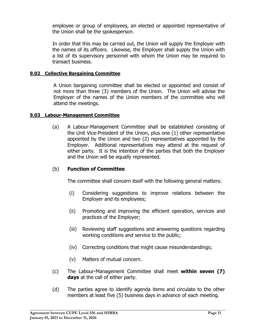employee or group of employees, an elected or appointed representative of the Union shall be the spokesperson.

In order that this may be carried out, the Union will supply the Employer with the names of its officers. Likewise, the Employer shall supply the Union with a list of its supervisory personnel with whom the Union may be required to transact business.

### <span id="page-10-0"></span>**9.02 Collective Bargaining Committee**

A Union bargaining committee shall be elected or appointed and consist of not more than three (3) members of the Union. The Union will advise the Employer of the names of the Union members of the committee who will attend the meetings.

#### <span id="page-10-1"></span>**9.03 Labour-Management Committee**

(a) A Labour-Management Committee shall be established consisting of the Unit Vice-President of the Union, plus one (1) other representative appointed by the Union and two (2) representatives appointed by the Employer. Additional representatives may attend at the request of either party. It is the intention of the parties that both the Employer and the Union will be equally represented.

## (b) **Function of Committee**

The committee shall concern itself with the following general matters:

- (i) Considering suggestions to improve relations between the Employer and its employees;
- (ii) Promoting and improving the efficient operation, services and practices of the Employer;
- (iii) Reviewing staff suggestions and answering questions regarding working conditions and service to the public;
- (iv) Correcting conditions that might cause misunderstandings;
- (v) Matters of mutual concern.
- (c) The Labour-Management Committee shall meet **within seven (7) days** at the call of either party.
- (d) The parties agree to identify agenda items and circulate to the other members at least five (5) business days in advance of each meeting.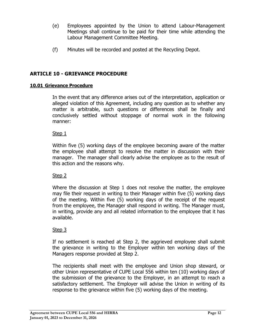- (e) Employees appointed by the Union to attend Labour-Management Meetings shall continue to be paid for their time while attending the Labour Management Committee Meeting.
- (f) Minutes will be recorded and posted at the Recycling Depot.

## <span id="page-11-0"></span>**ARTICLE 10 - GRIEVANCE PROCEDURE**

## <span id="page-11-1"></span>**10.01 Grievance Procedure**

In the event that any difference arises out of the interpretation, application or alleged violation of this Agreement, including any question as to whether any matter is arbitrable, such questions or differences shall be finally and conclusively settled without stoppage of normal work in the following manner:

## Step 1

Within five (5) working days of the employee becoming aware of the matter the employee shall attempt to resolve the matter in discussion with their manager. The manager shall clearly advise the employee as to the result of this action and the reasons why.

## Step 2

Where the discussion at Step 1 does not resolve the matter, the employee may file their request in writing to their Manager within five (5) working days of the meeting. Within five (5) working days of the receipt of the request from the employee, the Manager shall respond in writing. The Manager must, in writing, provide any and all related information to the employee that it has available.

## Step 3

If no settlement is reached at Step 2, the aggrieved employee shall submit the grievance in writing to the Employer within ten working days of the Managers response provided at Step 2.

The recipients shall meet with the employee and Union shop steward, or other Union representative of CUPE Local 556 within ten (10) working days of the submission of the grievance to the Employer, in an attempt to reach a satisfactory settlement. The Employer will advise the Union in writing of its response to the grievance within five (5) working days of the meeting.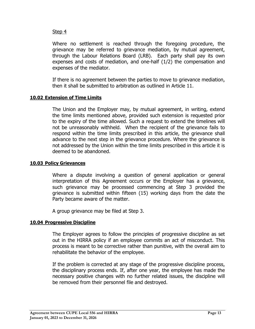## Step 4

Where no settlement is reached through the foregoing procedure, the grievance may be referred to grievance mediation, by mutual agreement, through the Labour Relations Board (LRB). Each party shall pay its own expenses and costs of mediation, and one-half (1/2) the compensation and expenses of the mediator.

If there is no agreement between the parties to move to grievance mediation, then it shall be submitted to arbitration as outlined in Article 11.

### <span id="page-12-0"></span>**10.02 Extension of Time Limits**

The Union and the Employer may, by mutual agreement, in writing, extend the time limits mentioned above, provided such extension is requested prior to the expiry of the time allowed. Such a request to extend the timelines will not be unreasonably withheld. When the recipient of the grievance fails to respond within the time limits prescribed in this article, the grievance shall advance to the next step in the grievance procedure. Where the grievance is not addressed by the Union within the time limits prescribed in this article it is deemed to be abandoned.

#### <span id="page-12-1"></span>**10.03 Policy Grievances**

Where a dispute involving a question of general application or general interpretation of this Agreement occurs or the Employer has a grievance, such grievance may be processed commencing at Step 3 provided the grievance is submitted within fifteen (15) working days from the date the Party became aware of the matter.

A group grievance may be filed at Step 3.

## <span id="page-12-2"></span>**10.04 Progressive Discipline**

The Employer agrees to follow the principles of progressive discipline as set out in the HIRRA policy if an employee commits an act of misconduct. This process is meant to be corrective rather than punitive, with the overall aim to rehabilitate the behavior of the employee.

If the problem is corrected at any stage of the progressive discipline process, the disciplinary process ends. If, after one year, the employee has made the necessary positive changes with no further related issues, the discipline will be removed from their personnel file and destroyed.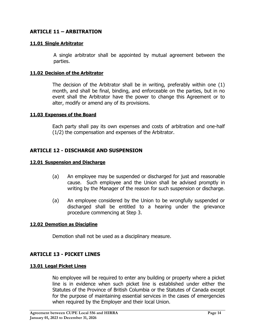## <span id="page-13-0"></span>**ARTICLE 11 – ARBITRATION**

#### <span id="page-13-1"></span>**11.01 Single Arbitrator**

A single arbitrator shall be appointed by mutual agreement between the parties.

#### <span id="page-13-2"></span>**11.02 Decision of the Arbitrator**

The decision of the Arbitrator shall be in writing, preferably within one (1) month, and shall be final, binding, and enforceable on the parties, but in no event shall the Arbitrator have the power to change this Agreement or to alter, modify or amend any of its provisions.

#### <span id="page-13-3"></span>**11.03 Expenses of the Board**

Each party shall pay its own expenses and costs of arbitration and one-half (1/2) the compensation and expenses of the Arbitrator.

## <span id="page-13-4"></span>**ARTICLE 12 - DISCHARGE AND SUSPENSION**

#### <span id="page-13-5"></span>**12.01 Suspension and Discharge**

- (a) An employee may be suspended or discharged for just and reasonable cause. Such employee and the Union shall be advised promptly in writing by the Manager of the reason for such suspension or discharge.
- (a) An employee considered by the Union to be wrongfully suspended or discharged shall be entitled to a hearing under the grievance procedure commencing at Step 3.

#### <span id="page-13-6"></span>**12.02 Demotion as Discipline**

Demotion shall not be used as a disciplinary measure.

## <span id="page-13-7"></span>**ARTICLE 13 - PICKET LINES**

#### <span id="page-13-8"></span>**13.01 Legal Picket Lines**

No employee will be required to enter any building or property where a picket line is in evidence when such picket line is established under either the Statutes of the Province of British Columbia or the Statutes of Canada except for the purpose of maintaining essential services in the cases of emergencies when required by the Employer and their local Union.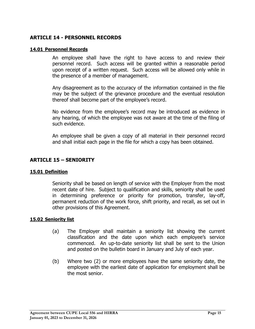## <span id="page-14-0"></span>**ARTICLE 14 - PERSONNEL RECORDS**

#### <span id="page-14-1"></span>**14.01 Personnel Records**

An employee shall have the right to have access to and review their personnel record. Such access will be granted within a reasonable period upon receipt of a written request. Such access will be allowed only while in the presence of a member of management.

Any disagreement as to the accuracy of the information contained in the file may be the subject of the grievance procedure and the eventual resolution thereof shall become part of the employee's record.

No evidence from the employee's record may be introduced as evidence in any hearing, of which the employee was not aware at the time of the filing of such evidence.

An employee shall be given a copy of all material in their personnel record and shall initial each page in the file for which a copy has been obtained.

## <span id="page-14-2"></span>**ARTICLE 15 – SENIORITY**

#### <span id="page-14-3"></span>**15.01 Definition**

Seniority shall be based on length of service with the Employer from the most recent date of hire. Subject to qualification and skills, seniority shall be used in determining preference or priority for promotion, transfer, lay-off, permanent reduction of the work force, shift priority, and recall, as set out in other provisions of this Agreement.

#### <span id="page-14-4"></span>**15.02 Seniority list**

- (a) The Employer shall maintain a seniority list showing the current classification and the date upon which each employee's service commenced. An up-to-date seniority list shall be sent to the Union and posted on the bulletin board in January and July of each year.
- (b) Where two (2) or more employees have the same seniority date, the employee with the earliest date of application for employment shall be the most senior.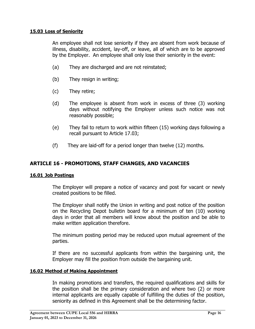### <span id="page-15-0"></span>**15.03 Loss of Seniority**

An employee shall not lose seniority if they are absent from work because of illness, disability, accident, lay-off, or leave, all of which are to be approved by the Employer. An employee shall only lose their seniority in the event:

- (a) They are discharged and are not reinstated;
- (b) They resign in writing;
- (c) They retire;
- (d) The employee is absent from work in excess of three (3) working days without notifying the Employer unless such notice was not reasonably possible;
- (e) They fail to return to work within fifteen (15) working days following a recall pursuant to Article 17.03;
- (f) They are laid-off for a period longer than twelve (12) months.

## <span id="page-15-1"></span>**ARTICLE 16 - PROMOTIONS, STAFF CHANGES, AND VACANCIES**

#### <span id="page-15-2"></span>**16.01 Job Postings**

The Employer will prepare a notice of vacancy and post for vacant or newly created positions to be filled.

The Employer shall notify the Union in writing and post notice of the position on the Recycling Depot bulletin board for a minimum of ten (10) working days in order that all members will know about the position and be able to make written application therefore.

The minimum posting period may be reduced upon mutual agreement of the parties.

If there are no successful applicants from within the bargaining unit, the Employer may fill the position from outside the bargaining unit.

#### <span id="page-15-3"></span>**16.02 Method of Making Appointment**

In making promotions and transfers, the required qualifications and skills for the position shall be the primary consideration and where two (2) or more internal applicants are equally capable of fulfilling the duties of the position, seniority as defined in this Agreement shall be the determining factor.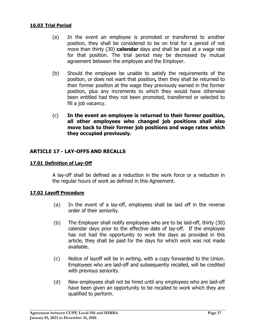#### <span id="page-16-0"></span>**16.03 Trial Period**

- (a) In the event an employee is promoted or transferred to another position, they shall be considered to be on trial for a period of not more than thirty (30) **calendar** days and shall be paid at a wage rate for that position. The trial period may be decreased by mutual agreement between the employee and the Employer.
- (b) Should the employee be unable to satisfy the requirements of the position, or does not want that position**,** then they shall be returned to their former position at the wage they previously earned in the former position, plus any increments to which they would have otherwise been entitled had they not been promoted, transferred or selected to fill a job vacancy.
- (c) **In the event an employee is returned to their former position, all other employees who changed job positions shall also move back to their former job positions and wage rates which they occupied previously.**

## <span id="page-16-1"></span>**ARTICLE 17 - LAY-OFFS AND RECALLS**

#### <span id="page-16-2"></span>**17.01 Definition of Lay-Off**

A lay-off shall be defined as a reduction in the work force or a reduction in the regular hours of work as defined in this Agreement.

#### <span id="page-16-3"></span>**17.02 Layoff Procedure**

- (a) In the event of a lay-off, employees shall be laid off in the reverse order of their seniority.
- (b) The Employer shall notify employees who are to be laid-off, thirty (30) calendar days prior to the effective date of lay-off. If the employee has not had the opportunity to work the days as provided in this article, they shall be paid for the days for which work was not made available.
- (c) Notice of layoff will be in writing, with a copy forwarded to the Union. Employees who are laid-off and subsequently recalled, will be credited with previous seniority.
- (d) New employees shall not be hired until any employees who are laid-off have been given an opportunity to be recalled to work which they are qualified to perform.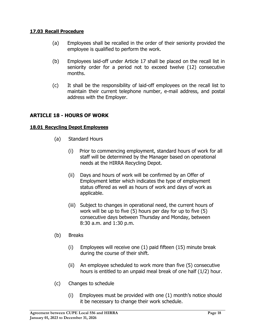## <span id="page-17-0"></span>**17.03 Recall Procedure**

- (a) Employees shall be recalled in the order of their seniority provided the employee is qualified to perform the work.
- (b) Employees laid-off under Article 17 shall be placed on the recall list in seniority order for a period not to exceed twelve (12) consecutive months.
- (c) It shall be the responsibility of laid-off employees on the recall list to maintain their current telephone number, e-mail address, and postal address with the Employer.

## <span id="page-17-1"></span>**ARTICLE 18 - HOURS OF WORK**

### <span id="page-17-2"></span>**18.01 Recycling Depot Employees**

- (a) Standard Hours
	- (i) Prior to commencing employment, standard hours of work for all staff will be determined by the Manager based on operational needs at the HIRRA Recycling Depot.
	- (ii) Days and hours of work will be confirmed by an Offer of Employment letter which indicates the type of employment status offered as well as hours of work and days of work as applicable.
	- (iii) Subject to changes in operational need, the current hours of work will be up to five (5) hours per day for up to five (5) consecutive days between Thursday and Monday, between 8:30 a.m. and 1:30 p.m.
- (b) Breaks
	- (i) Employees will receive one (1) paid fifteen (15) minute break during the course of their shift.
	- (ii) An employee scheduled to work more than five (5) consecutive hours is entitled to an unpaid meal break of one half (1/2) hour.
- (c) Changes to schedule
	- (i) Employees must be provided with one (1) month's notice should it be necessary to change their work schedule.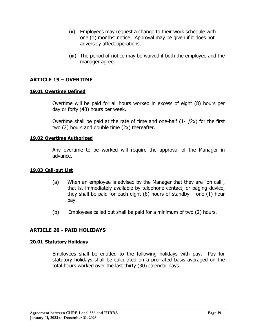- (ii) Employees may request a change to their work schedule with one (1) months' notice. Approval may be given if it does not adversely affect operations.
- (iii) The period of notice may be waived if both the employee and the manager agree.

## <span id="page-18-0"></span>**ARTICLE 19 – OVERTIME**

#### <span id="page-18-1"></span>**19.01 Overtime Defined**

Overtime will be paid for all hours worked in excess of eight (8) hours per day or forty (40) hours per week.

Overtime shall be paid at the rate of time and one-half (1-1/2x) for the first two (2) hours and double time (2x) thereafter.

#### <span id="page-18-2"></span>**19.02 Overtime Authorized**

Any overtime to be worked will require the approval of the Manager in advance.

#### <span id="page-18-3"></span>**19.03 Call-out List**

- (a) When an employee is advised by the Manager that they are "on call", that is, immediately available by telephone contact, or paging device, they shall be paid for each eight  $(8)$  hours of standby – one  $(1)$  hour pay.
- (b) Employees called out shall be paid for a minimum of two (2) hours.

## <span id="page-18-4"></span>**ARTICLE 20 - PAID HOLIDAYS**

#### <span id="page-18-5"></span>**20.01 Statutory Holidays**

Employees shall be entitled to the following holidays with pay. Pay for statutory holidays shall be calculated on a pro-rated basis averaged on the total hours worked over the last thirty (30) calendar days.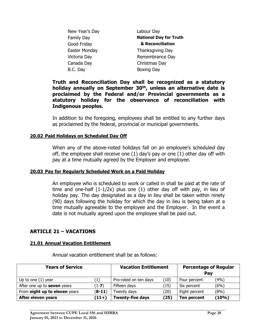| New Year's Day    | Labour Day                    |
|-------------------|-------------------------------|
| <b>Family Day</b> | <b>National Day for Truth</b> |
| Good Friday       | & Reconciliation              |
| Easter Monday     | Thanksgiving Day              |
| Victoria Day      | Remembrance Day               |
| Canada Day        | Christmas Day                 |
| B.C. Day          | <b>Boxing Day</b>             |
|                   |                               |

**Truth and Reconciliation Day shall be recognized as a statutory holiday annually on September 30th, unless an alternative date is proclaimed by the Federal and/or Provincial governments as a statutory holiday for the observance of reconciliation with Indigenous peoples.**

In addition to the foregoing, employees shall be entitled to any further days as proclaimed by the federal, provincial or municipal governments.

#### <span id="page-19-0"></span>**20.02 Paid Holidays on Scheduled Day Off**

When any of the above-noted holidays fall on an employee's scheduled day off, the employee shall receive one (1) day's pay or one (1) other day off with pay at a time mutually agreed by the Employer and employee.

#### <span id="page-19-1"></span>**20.03 Pay for Regularly Scheduled Work on a Paid Holiday**

An employee who is scheduled to work or called in shall be paid at the rate of time and one-half (1-1/2x) plus one (1) other day off with pay, in lieu of holiday pay. The day designated as a day in lieu shall be taken within ninety (90) days following the holiday for which the day in lieu is being taken at a time mutually agreeable to the employee and the Employer. In the event a date is not mutually agreed upon the employee shall be paid out.

## <span id="page-19-2"></span>**ARTICLE 21 – VACATIONS**

#### <span id="page-19-3"></span>**21.01 Annual Vacation Entitlement**

Annual vacation entitlement shall be as follows:

| <b>Years of Service</b>            | <b>Vacation Entitlement</b> |                         | <b>Percentage of Regular</b><br>Pay |               |       |
|------------------------------------|-----------------------------|-------------------------|-------------------------------------|---------------|-------|
| Up to one $(1)$ year               | $\left(1\right)$            | Pro-rated on ten days   | (10)                                | Four percent  | (4%)  |
| After one up to <b>seven</b> years | $(1-7)$                     | Fifteen days            | (15)                                | Six percent   | (6%)  |
| From eight up to eleven years      | $(8-11)$                    | Twenty days             | (20)                                | Eight percent | (8%)  |
| After eleven years                 | $(11+)$                     | <b>Twenty-five days</b> | (25)                                | Ten percent   | (10%) |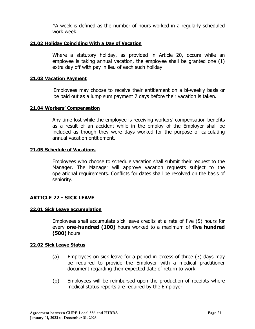\*A week is defined as the number of hours worked in a regularly scheduled work week.

#### <span id="page-20-0"></span>**21.02 Holiday Coinciding With a Day of Vacation**

Where a statutory holiday, as provided in Article 20, occurs while an employee is taking annual vacation, the employee shall be granted one (1) extra day off with pay in lieu of each such holiday.

#### <span id="page-20-1"></span>**21.03 Vacation Payment**

Employees may choose to receive their entitlement on a bi-weekly basis or be paid out as a lump sum payment 7 days before their vacation is taken.

#### <span id="page-20-2"></span>**21.04 Workers' Compensation**

Any time lost while the employee is receiving workers' compensation benefits as a result of an accident while in the employ of the Employer shall be included as though they were days worked for the purpose of calculating annual vacation entitlement.

#### <span id="page-20-3"></span>**21.05 Schedule of Vacations**

Employees who choose to schedule vacation shall submit their request to the Manager. The Manager will approve vacation requests subject to the operational requirements. Conflicts for dates shall be resolved on the basis of seniority.

## <span id="page-20-4"></span>**ARTICLE 22 - SICK LEAVE**

#### <span id="page-20-5"></span>**22.01 Sick Leave accumulation**

Employees shall accumulate sick leave credits at a rate of five (5) hours for every **one-hundred (100)** hours worked to a maximum of **five hundred (500)** hours.

#### <span id="page-20-6"></span>**22.02 Sick Leave Status**

- (a) Employees on sick leave for a period in excess of three (3) days may be required to provide the Employer with a medical practitioner document regarding their expected date of return to work.
- (b) Employees will be reimbursed upon the production of receipts where medical status reports are required by the Employer.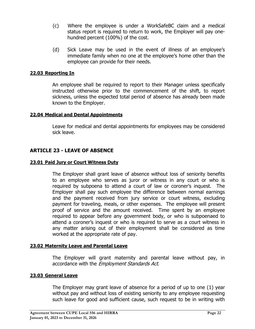- (c) Where the employee is under a WorkSafeBC claim and a medical status report is required to return to work, the Employer will pay onehundred percent (100%) of the cost.
- (d) Sick Leave may be used in the event of illness of an employee's immediate family when no one at the employee's home other than the employee can provide for their needs.

## <span id="page-21-0"></span>**22.03 Reporting In**

An employee shall be required to report to their Manager unless specifically instructed otherwise prior to the commencement of the shift, to report sickness, unless the expected total period of absence has already been made known to the Employer.

#### <span id="page-21-1"></span>**22.04 Medical and Dental Appointments**

Leave for medical and dental appointments for employees may be considered sick leave.

## <span id="page-21-2"></span>**ARTICLE 23 - LEAVE OF ABSENCE**

#### <span id="page-21-3"></span>**23.01 Paid Jury or Court Witness Duty**

The Employer shall grant leave of absence without loss of seniority benefits to an employee who serves as juror or witness in any court or who is required by subpoena to attend a court of law or coroner's inquest. The Employer shall pay such employee the difference between normal earnings and the payment received from jury service or court witness, excluding payment for traveling, meals, or other expenses. The employee will present proof of service and the amount received. Time spent by an employee required to appear before any government body, or who is subpoenaed to attend a coroner's inquest or who is required to serve as a court witness in any matter arising out of their employment shall be considered as time worked at the appropriate rate of pay.

#### <span id="page-21-4"></span>**23.02 Maternity Leave and Parental Leave**

The Employer will grant maternity and parental leave without pay, in accordance with the *Employment Standards Act*.

#### <span id="page-21-5"></span>**23.03 General Leave**

The Employer may grant leave of absence for a period of up to one (1) year without pay and without loss of existing seniority to any employee requesting such leave for good and sufficient cause, such request to be in writing with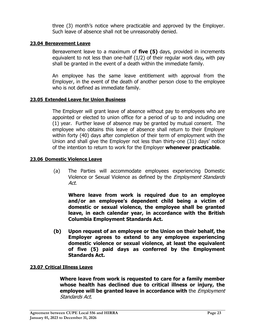three (3) month's notice where practicable and approved by the Employer. Such leave of absence shall not be unreasonably denied.

### <span id="page-22-0"></span>**23.04 Bereavement Leave**

Bereavement leave to a maximum of **five (5)** days, provided in increments equivalent to not less than one-half (1/2) of their regular work day**,** with pay shall be granted in the event of a death within the immediate family.

An employee has the same leave entitlement with approval from the Employer, in the event of the death of another person close to the employee who is not defined as immediate family.

### <span id="page-22-1"></span>**23.05 Extended Leave for Union Business**

The Employer will grant leave of absence without pay to employees who are appointed or elected to union office for a period of up to and including one (1) year. Further leave of absence may be granted by mutual consent. The employee who obtains this leave of absence shall return to their Employer within forty (40) days after completion of their term of employment with the Union and shall give the Employer not less than thirty-one (31) days' notice of the intention to return to work for the Employer **whenever practicable**.

#### <span id="page-22-2"></span>**23.06 Domestic Violence Leave**

(a) The Parties will accommodate employees experiencing Domestic Violence or Sexual Violence as defined by the Employment Standards Act.

**Where leave from work is required due to an employee and/or an employee's dependent child being a victim of domestic or sexual violence, the employee shall be granted leave, in each calendar year, in accordance with the British Columbia Employment Standards Act.**

**(b) Upon request of an employee or the Union on their behalf, the Employer agrees to extend to any employee experiencing domestic violence or sexual violence, at least the equivalent of five (5) paid days as conferred by the Employment Standards Act.**

## <span id="page-22-3"></span>**23.07 Critical Illness Leave**

**Where leave from work is requested to care for a family member whose health has declined due to critical illness or injury, the employee will be granted leave in accordance with** the Employment Standards Act.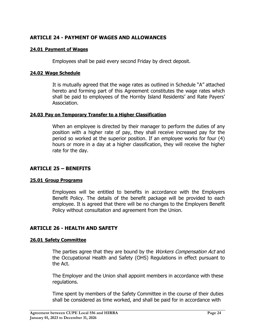## <span id="page-23-0"></span>**ARTICLE 24 - PAYMENT OF WAGES AND ALLOWANCES**

### <span id="page-23-1"></span>**24.01 Payment of Wages**

Employees shall be paid every second Friday by direct deposit.

#### <span id="page-23-2"></span>**24.02 Wage Schedule**

It is mutually agreed that the wage rates as outlined in Schedule "A" attached hereto and forming part of this Agreement constitutes the wage rates which shall be paid to employees of the Hornby Island Residents' and Rate Payers' Association.

### <span id="page-23-3"></span>**24.03 Pay on Temporary Transfer to a Higher Classification**

When an employee is directed by their manager to perform the duties of any position with a higher rate of pay, they shall receive increased pay for the period so worked at the superior position. If an employee works for four (4) hours or more in a day at a higher classification, they will receive the higher rate for the day.

## <span id="page-23-4"></span>**ARTICLE 25 – BENEFITS**

#### <span id="page-23-5"></span>**25.01 Group Programs**

Employees will be entitled to benefits in accordance with the Employers Benefit Policy. The details of the benefit package will be provided to each employee. It is agreed that there will be no changes to the Employers Benefit Policy without consultation and agreement from the Union.

## <span id="page-23-6"></span>**ARTICLE 26 - HEALTH AND SAFETY**

#### <span id="page-23-7"></span>**26.01 Safety Committee**

The parties agree that they are bound by the *Workers Compensation Act* and the Occupational Health and Safety (OHS) Regulations in effect pursuant to the Act.

The Employer and the Union shall appoint members in accordance with these regulations.

Time spent by members of the Safety Committee in the course of their duties shall be considered as time worked, and shall be paid for in accordance with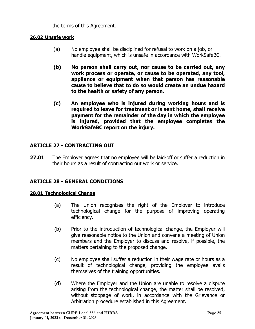the terms of this Agreement.

## <span id="page-24-0"></span>**26.02 Unsafe work**

- (a) No employee shall be disciplined for refusal to work on a job, or handle equipment, which is unsafe in accordance with WorkSafeBC.
- **(b) No person shall carry out, nor cause to be carried out, any work process or operate, or cause to be operated, any tool, appliance or equipment when that person has reasonable cause to believe that to do so would create an undue hazard to the health or safety of any person.**
- **(c) An employee who is injured during working hours and is required to leave for treatment or is sent home, shall receive payment for the remainder of the day in which the employee is injured, provided that the employee completes the WorkSafeBC report on the injury.**

## <span id="page-24-1"></span>**ARTICLE 27 - CONTRACTING OUT**

**27.01** The Employer agrees that no employee will be laid-off or suffer a reduction in their hours as a result of contracting out work or service.

## <span id="page-24-2"></span>**ARTICLE 28 - GENERAL CONDITIONS**

#### <span id="page-24-3"></span>**28.01 Technological Change**

- (a) The Union recognizes the right of the Employer to introduce technological change for the purpose of improving operating efficiency.
- (b) Prior to the introduction of technological change, the Employer will give reasonable notice to the Union and convene a meeting of Union members and the Employer to discuss and resolve, if possible, the matters pertaining to the proposed change.
- (c) No employee shall suffer a reduction in their wage rate or hours as a result of technological change, providing the employee avails themselves of the training opportunities.
- (d) Where the Employer and the Union are unable to resolve a dispute arising from the technological change, the matter shall be resolved, without stoppage of work, in accordance with the Grievance or Arbitration procedure established in this Agreement.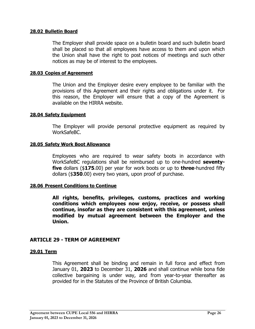#### <span id="page-25-0"></span>**28.02 Bulletin Board**

The Employer shall provide space on a bulletin board and such bulletin board shall be placed so that all employees have access to them and upon which the Union shall have the right to post notices of meetings and such other notices as may be of interest to the employees.

#### <span id="page-25-1"></span>**28.03 Copies of Agreement**

The Union and the Employer desire every employee to be familiar with the provisions of this Agreement and their rights and obligations under it. For this reason, the Employer will ensure that a copy of the Agreement is available on the HIRRA website.

#### <span id="page-25-2"></span>**28.04 Safety Equipment**

The Employer will provide personal protective equipment as required by WorkSafeBC.

#### <span id="page-25-3"></span>**28.05 Safety Work Boot Allowance**

Employees who are required to wear safety boots in accordance with WorkSafeBC regulations shall be reimbursed up to one-hundred **seventyfive** dollars (\$**175**.00) per year for work boots or up to **three**-hundred fifty dollars (\$**350**.00) every two years, upon proof of purchase.

#### <span id="page-25-4"></span>**28.06 Present Conditions to Continue**

**All rights, benefits, privileges, customs, practices and working conditions which employees now enjoy, receive, or possess shall continue, insofar as they are consistent with this agreement, unless modified by mutual agreement between the Employer and the Union.**

## <span id="page-25-5"></span>**ARTICLE 29 - TERM OF AGREEMENT**

#### <span id="page-25-6"></span>**29.01 Term**

This Agreement shall be binding and remain in full force and effect from January 01, **2023** to December 31, **2026** and shall continue while bona fide collective bargaining is under way, and from year-to-year thereafter as provided for in the Statutes of the Province of British Columbia.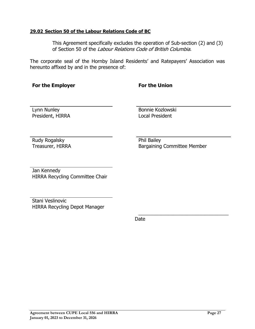#### <span id="page-26-0"></span>**29.02 Section 50 of the Labour Relations Code of BC**

This Agreement specifically excludes the operation of Sub-section (2) and (3) of Section 50 of the Labour Relations Code of British Columbia.

The corporate seal of the Hornby Island Residents' and Ratepayers' Association was hereunto affixed by and in the presence of:

## **For the Employer For the Union**

President, HIRRA Local President

Lynn Nunley Bonnie Kozlowski

Rudy Rogalsky **Phil Bailey** 

Treasurer, HIRRA Bargaining Committee Member

\_\_\_\_\_\_\_\_\_\_\_\_\_\_\_\_\_\_\_\_\_\_\_\_\_\_\_\_\_\_\_\_\_

Jan Kennedy HIRRA Recycling Committee Chair

Stani Veslinovic HIRRA Recycling Depot Manager

discussion of the contract of the Date of the Date of the United States of the United States of the United States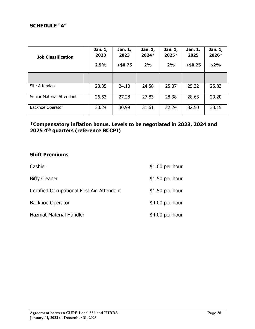## <span id="page-27-0"></span>**SCHEDULE "A"**

| <b>Job Classification</b> | Jan. 1,<br>2023<br>2.5% | Jan. 1,<br>2023<br>$+ $0.75$ | Jan. 1,<br>2024*<br>2% | Jan. 1,<br>2025*<br>2% | Jan. 1,<br>2025<br>$+ $0.25$ | Jan. 1,<br>2026*<br>\$2% |
|---------------------------|-------------------------|------------------------------|------------------------|------------------------|------------------------------|--------------------------|
|                           |                         |                              |                        |                        |                              |                          |
| Site Attendant            | 23.35                   | 24.10                        | 24.58                  | 25.07                  | 25.32                        | 25.83                    |
| Senior Material Attendant | 26.53                   | 27.28                        | 27.83                  | 28.38                  | 28.63                        | 29.20                    |
| Backhoe Operator          | 30.24                   | 30.99                        | 31.61                  | 32.24                  | 32.50                        | 33.15                    |

## **\*Compensatory inflation bonus. Levels to be negotiated in 2023, 2024 and 2025 4th quarters (reference BCCPI)**

## **Shift Premiums**

| Cashier                                    | $$1.00$ per hour |
|--------------------------------------------|------------------|
| <b>Biffy Cleaner</b>                       | $$1.50$ per hour |
| Certified Occupational First Aid Attendant | $$1.50$ per hour |
| <b>Backhoe Operator</b>                    | $$4.00$ per hour |
| <b>Hazmat Material Handler</b>             | \$4.00 per hour  |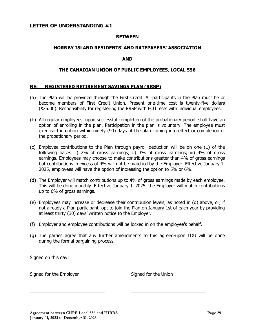#### <span id="page-28-0"></span>**LETTER OF UNDERSTANDING #1**

#### **BETWEEN**

#### **HORNBY ISLAND RESIDENTS' AND RATEPAYERS' ASSOCIATION**

#### **AND**

#### **THE CANADIAN UNION OF PUBLIC EMPLOYEES, LOCAL 556**

#### <span id="page-28-1"></span>**RE: REGISTERED RETIREMENT SAVINGS PLAN (RRSP)**

- (a) The Plan will be provided through the First Credit. All participants in the Plan must be or become members of First Credit Union. Present one-time cost is twenty-five dollars (\$25.00). Responsibility for registering the RRSP with FCU rests with individual employees.
- (b) All regular employees, upon successful completion of the probationary period, shall have an option of enrolling in the plan. Participation in the plan is voluntary. The employee must exercise the option within ninety (90) days of the plan coming into effect or completion of the probationary period.
- (c) Employee contributions to the Plan through payroll deduction will be on one (1) of the following bases: i) 2% of gross earnings; ii) 3% of gross earnings; iii) 4% of gross earnings. Employees may choose to make contributions greater than 4% of gross earnings but contributions in excess of 4% will not be matched by the Employer. Effective January 1, 2025, employees will have the option of increasing the option to 5% or 6%.
- (d) The Employer will match contributions up to 4% of gross earnings made by each employee. This will be done monthly. Effective January 1, 2025, the Employer will match contributions up to 6% of gross earnings.
- (e) Employees may increase or decrease their contribution levels, as noted in (d) above, or, if not already a Plan participant, opt to join the Plan on January 1st of each year by providing at least thirty (30) days' written notice to the Employer.
- (f) Employer and employee contributions will be locked in on the employee's behalf.
- (g) The parties agree that any further amendments to this agreed-upon LOU will be done during the formal bargaining process.

Signed on this day:

ı

Signed for the Employer Signed for the Union